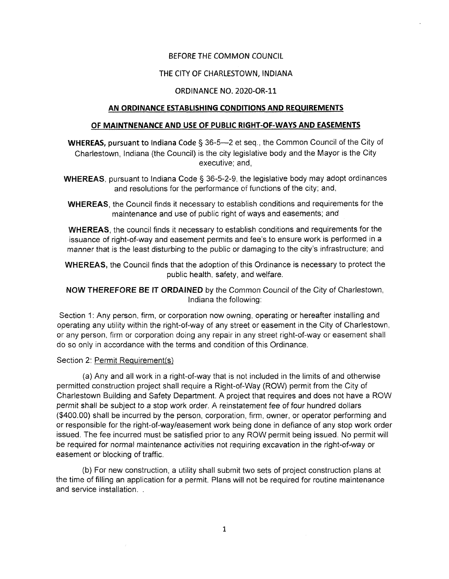## BEFORE THE *COMMON COUNCIL*

#### THE CITY OF CHARLESTOWN, INDIANA

#### ORDINANCE NO. 2020-OR-11

#### **AN ORDINANCE ESTABLISHING CONDITIONS AND REQUIREMENTS**

#### **OF MAiNTNENANCE AND USE OF PUBLIC RIGHT-OF-WAYS AND EASEMENTS**

**WHEREAS,** pursuant to Indiana Code § 36-5—2 et seq., the Common Council of the City of Charlestown, Indiana (the Council) is the city legislative body and the Mayor is the City executive: and,

WHEREAS, pursuant to Indiana Code § 36-5-2-9, the legislative body may adopt ordinances and resolutions for the performance of functions of the city; and,

WHEREAS, the Council finds it necessary to establish conditions and requirements for the maintenance and use of public right of ways and easements; and

WHEREAS, the council finds it necessary to establish conditions and requirements for the issuance of right-of-way and easement permits and fee's to ensure work is performed in a *manner that is* the least disturbing to the public or damaging to the city's infrastructure; and

WHEREAS, the Council finds that the adoption of this Ordinance is necessary to protect the public health, safety, and welfare.

NOW THEREFORE BE IT ORDAINED by the Common Council of the City of Charlestown, Indiana the following;

Section 1: Any person, firm, or corporation now owning, operating or hereafter installing and operating any utility within the right-of-way of any street or easement in the City of Charlestown, or any person, firm or corporation doing any repair in any street right-of-way or easement shall do so only in accordance with the terms and condition of this Ordinance.

## Section 2: Permit Requirement(s)

(a) Any and ail work in a right-of-way that is not included in the limits of and otherwise permitted construction project shall require a Right-of-Way (ROW) permit from the City of Charlestown Building and Safety Department. A project that requires and does not have a ROW permit shall be subject to a stop work order. A reinstatement fee of four hundred dollars (\$400.00) shall be incurred by the person, corporation, firm, owner, or operator performing and or responsible for the right-of-way/easement work being done in defiance of any stop work order issued. The fee incurred must be satisfied prior to any ROW permit being issued. No permit will be required for *normal* maintenance activities not requiring excavation in the right-of-way or easement or blocking of traffic.

(b) For new construction, a utility shall submit two sets of project construction plans at the time of filling an application for a permit. Plans will not be required for routine maintenance and service installation. .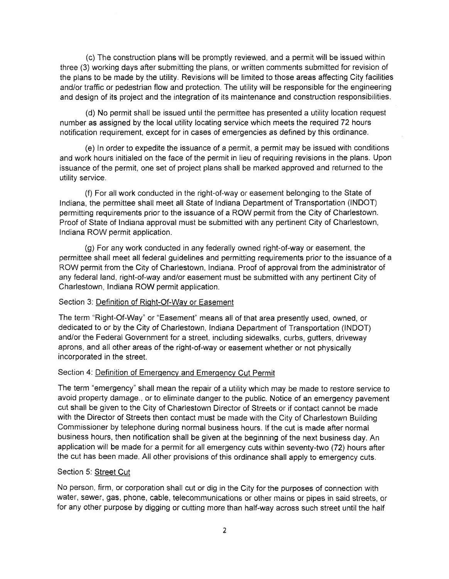(c) The construction plans will be promptly reviewed, and a permit will be issued within three (3) working days after submitting the plans, or written comments submitted for revision of the plans to be made by the utility. Revisions will be limited to those areas affecting City facilities and/or traffic or pedestrian flow and protection. The utility will be responsible for the engineering and design of its project and the integration of its maintenance and construction responsibilities.

(d) No permit shall be issued until the permittee has presented a utility location request number as assigned by the local utility locating service which meets the required 72 hours notification requirement, except for in cases of emergencies as defined by this ordinance.

(e) In order to expedite the issuance of a permit, a permit may be issued with conditions and work hours initialed on the face of the permit in lieu of requiring revisions in the plans. Upon issuance of the permit, one set of project plans shall be marked approved and returned to the utility service.

(f) For all work conducted in the right-of-way or easement belonging to the State of Indiana, the permittee shall meet all State of Indiana Department of Transportation (INDOT) permitting requirements prior to the issuance of a ROW permit from the City of Charlestown. Proof of State of Indiana approval must be submitted with any pertinent City of Charlestown, Indiana ROW permit application.

(g) For any work conducted in any federally owned right-of-way or easement, the permittee shall meet all federal guidelines and permitting requirements prior to the issuance of a ROW permit from the City of Charlestown, Indiana. Proof of approval from the administrator of any federal land, right-of-way and/or easement must be submitted with any pertinent City of Charlestown, Indiana ROW permit application.

#### Section 3: Definition of Right-Of-Way or Easement

The term "Right-Of-Way" or "Easement" means all of that area presently used, owned, or dedicated to or by the City of Charlestown, Indiana Department of Transportation (INDOT) and/or the Federal Government for a street, including sidewalks, curbs, gutters, driveway aprons, and all other areas of the right-of-way or easement whether or not physically incorporated in the street.

#### Section 4: Definition of Emergency and Emergency Cut Permit

The term "emergency" shall mean the repair of a utility which may be made to restore service to avoid property damage., or to eliminate danger to the public. Notice of an emergency pavement cut shall be given to the City of Charlestown Director of Streets or if contact cannot be made with the Director of Streets then contact must be made with the City of Charlestown Building Commissioner by telephone during normal business hours. If the cut is made after normal business hours, then notification shall be given at the beginning of the next business day. An application will be made for a permit for all emergency cuts within seventy-two (72) hours after the cut has been made. All other provisions of this ordinance shall apply to emergency cuts.

## Section 5; Street Cut

No person, firm, or corporation shall cut or dig in the City for the purposes of connection with water, sewer, gas, phone, cable, telecommunications or other mains or pipes in said streets, or for any other purpose by digging or cutting more than half-way across such street until the half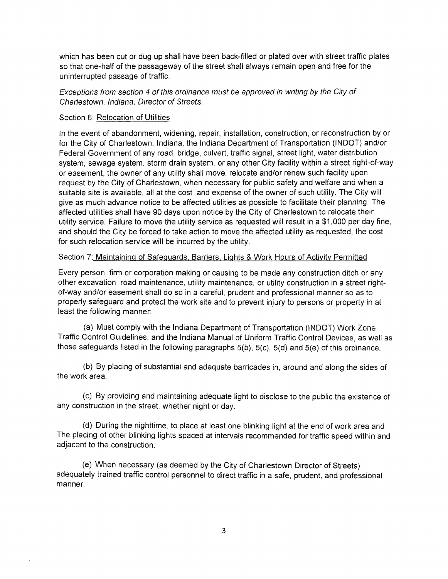which has been cut or dug up shall have been back-filled or plated over with street traffic plates so that one-half of the passageway of the street shall always remain open and free for the uninterrupted passage of traffic.

*Exceptions from section 4 of this ordinance must be approved in writing by the City of Charlestown, Indiana, Director of Streets.*

## Section 6: Relocation of Utilities

In the event of abandonment, widening, repair, installation, construction, or reconstruction by or for the City of Charlestown, Indiana, the Indiana Department of Transportation (INDOT) and/or Federal Government of any road, bridge, culvert, traffic signal, street light, water distribution system, sewage system, storm drain system, or any other City facility within a street right-of-way or easement, the owner of any utility shall move, relocate and/or renew such facility upon request by the City of Charlestown, when necessary for public safety and welfare and when a suitable site is available, all at the cost and expense of the owner of such utility. The City will give as much advance notice to be affected utilities as possible to facilitate their planning. The affected utilities shall have 90 days upon notice by the City of Charlestown to relocate their utility service. Failure to move the utility service as requested will result in a \$1,000 per day fine, and should the City be forced to take action to move the affected utility as requested, the cost for such relocation service will be incurred by the utility.

#### Section 7: Maintaining of Safeguards, Barriers. Lights & Work Hours of Activity Permitted

Every person, firm or corporation making or causing to be made any construction ditch or any other excavation, road maintenance, utility maintenance, or utility construction in a street rightof-way and/or easement shall do so in a careful, prudent and professional manner so as to properly safeguard and protect the work site and to prevent injury to persons or property in at least the following manner:

(a) Must comply with the Indiana Department of Transportation (INDOT) Work Zone Traffic Control Guidelines, and the Indiana Manual of Uniform Traffic Control Devices, as well as those safeguards listed in the following paragraphs 5(b), 5(c), 5(d) and 5(e) of this ordinance.

(b) By placing of substantial and adequate barricades in, around and along the sides of the work area.

(c) By providing and maintaining adequate light to disclose to the public the existence of any construction in the street, whether night or day.

(d) During the nighttime, to place at least one blinking light at the end of work area and The placing of other blinking lights spaced at intervals recommended for traffic speed within and adjacent to the construction.

(e) When necessary (as deemed by the City of Charlestown Director of Streets) adequately trained traffic control personnel to direct traffic in a safe, prudent, and professional manner.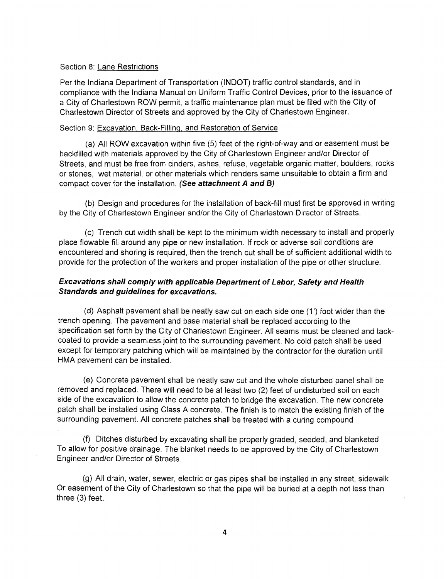#### Section 8: Lane Restrictions

Per the Indiana Department of Transportation (INDOT) traffic control standards, and in compliance with the Indiana Manual on Uniform Traffic Control Devices, prior to the issuance of a City of Charlestown ROW permit, a traffic maintenance plan must be filed with the City of Charlestown Director of Streets and approved by the City of Charlestown Engineer.

#### Section 9; Excavation. Back-Filling, and Restoration of Service

(a) All ROW excavation within five (5) feet of the right-of-way and or easement must be backfilled with materials approved by the City of Charlestown Engineer and/or Director of Streets, and must be free from cinders, ashes, refuse, vegetable organic matter, boulders, rocks or stones, wet material, or other materials which renders same unsuitable to obtain a firm and compact cover for the installation. (See *attachment* A and B)

(b) Design and procedures for the installation of back-fill must first be approved in writing by the City of Charlestown Engineer and/or the City of Charlestown Director of Streets.

(c) Trench cut width shall be kept to the minimum width necessary to install and properly place flowable fill around any pipe or new installation. If rock or adverse soil conditions are encountered and shoring is required, then the trench cut shall be of sufficient additional width to provide for the protection of the workers and proper installation of the pipe or other structure.

## *Excavations shall comply with applicable Department of Labor, Safety and Health Standards and guidelines for excavations.*

(d) Asphalt pavement shall be neatly saw cut on each side one (T) foot wider than the trench opening. The pavement and base material shall be replaced according to the specification set forth by the City of Charlestown Engineer. All seams must be cleaned and tackcoated to provide a seamless joint to the surrounding pavement. No cold patch shall be used except for temporary patching which will be maintained by the contractor for the duration until HMA pavement can be installed.

(e) Concrete pavement shall be neatly saw cut and the whole disturbed panel shall be removed and replaced. There will need to be at least two (2) feet of undisturbed soil on each side of the excavation to allow the concrete patch to bridge the excavation. The new concrete patch shall be installed using Class A concrete. The finish is to match the existing finish of the surrounding pavement. All concrete patches shall be treated with a curing compound

(f) Ditches disturbed by excavating shall be properly graded, seeded, and blanketed To allow for positive drainage. The blanket needs to be approved by the City of Charlestown Engineer and/or Director of Streets.

(g) All drain, water, sewer, electric or gas pipes shall be installed in any street, sidewalk Or easement of the City of Charlestown so that the pipe will be buried at a depth not less than three (3) feet.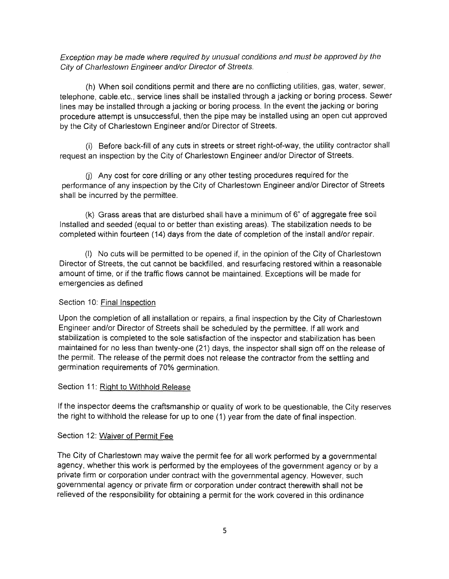*Exception may be made where required by unusual conditions and must be approved by the City of Charlestown Engineer and/or Director of Streets.*

(h) When soil conditions permit and there are no conflicting utilities, gas, water, sewer, telephone, cable.etc., service lines shall be installed through a jacking or boring process. Sewer lines may be installed through a jacking or boring process. In the event the jacking or boring procedure attempt is unsuccessful, then the pipe may be installed using an open cut approved by the City of Charlestown Engineer and/or Director of Streets.

(i) Before back-fill of any cuts in streets or street right-of-way, the utility contractor shall request an inspection by the City of Charlestown Engineer and/or Director of Streets.

(j) Any cost for core drilling or any other testing procedures required for the performance of any inspection by the City of Charlestown Engineer and/or Director of Streets shall be incurred by the permittee.

(k) Grass areas that are disturbed shall have a minimum of 6" of aggregate free soil installed and seeded (equal to or better than existing areas). The stabilization needs to be completed within fourteen (14) days from the date of completion of the install and/or repair.

(l) No cuts will be permitted to be opened if, in the opinion of the City of Charlestown Director of Streets, the cut cannot be backfilled, and resurfacing restored within a reasonable amount of time, or if the traffic flows cannot be maintained. Exceptions will be made for emergencies as defined

## Section 10: Final Inspection

Upon the completion of all installation or repairs, a final inspection by the City of Charlestown Engineer and/or Director of Streets shall be scheduled by the permittee. If all work and stabilization is completed to the sole satisfaction of the inspector and stabilization has been maintained for no less than twenty-one (21) days, the inspector shall sign off on the release of the permit. The release of the permit does not release the contractor from the settling and germination requirements of 70% germination.

#### Section 11: Right to Withhold Release

If the inspector deems the craftsmanship or quality of work to be questionable, the City reserves the right to withhold the release for up to one (1) year from the date of final inspection.

#### Section 12: Waiver of Permit Fee

The City of Charlestown may waive the permit fee for all work performed by a governmental agency, whether this work is performed by the employees of the government agency or by a private firm or corporation under contract with the governmental agency. However, such governmental agency or private firm or corporation under contract therewith shall not be relieved of the responsibility for obtaining a permit for the work covered in this ordinance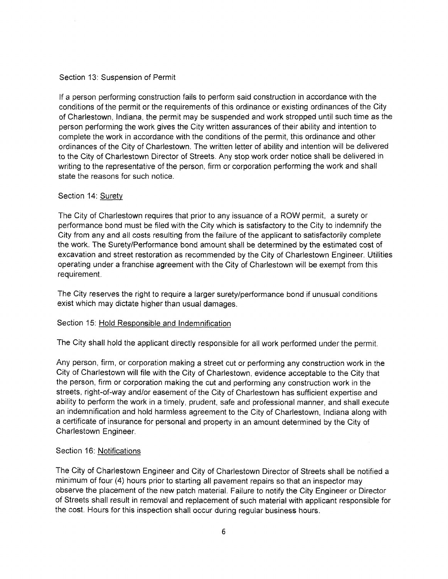## Section 13: Suspension of Permit

If a person performing construction fails to perform said construction in accordance with the conditions of the permit or the requirements of this ordinance or existing ordinances of the City of Charlestown, Indiana, the permit may be suspended and work stropped until such time as the person performing the work gives the City written assurances of their ability and intention to complete the work in accordance with the conditions of the permit, this ordinance and other ordinances of the City of Charlestown. The written letter of ability and intention will be delivered to the City of Charlestown Director of Streets. Any stop work order notice shall be delivered in writing to the representative of the person, firm or corporation performing the work and shall state the reasons for such notice.

## Section 14: Surety

The City of Charlestown requires that prior to any issuance of a ROW permit, a surety or performance bond must be filed with the City which is satisfactory to the City to indemnify the City from any and all costs resulting from the failure of the applicant to satisfactorily complete the work. The Surety/Performance bond amount shall be determined by the estimated cost of excavation and street restoration as recommended by the City of Charlestown Engineer. Utilities operating under a franchise agreement with the City of Charlestown will be exempt from this requirement.

The City reserves the right to require a larger surety/performance bond if unusual conditions exist which may dictate higher than usual damages.

## Section 15: Hold Responsible and Indemnification

The City shall hold the applicant directly responsible for all work performed under the permit.

Any person, firm, or corporation making a street cut or performing any construction work in the City of Charlestown will file with the City of Charlestown, evidence acceptable to the City that the person, firm or corporation making the cut and performing any construction work in the streets, right-of-way and/or easement of the City of Charlestown has sufficient expertise and ability to perform the work in a timely, prudent, safe and professional manner, and shall execute an indemnification and hold harmless agreement to the City of Charlestown, Indiana along with a certificate of insurance for personal and property in an amount determined by the City of Charlestown Engineer.

## Section 16: Notifications

The City of Charlestown Engineer and City of Charlestown Director of Streets shall be notified a minimum of four (4) hours prior to starting all pavement repairs so that an inspector may observe the placement of the new patch material. Failure to notify the City Engineer or Director of Streets shall result in removal and replacement of such material with applicant responsible for the cost. Hours for this inspection shall occur during regular business hours.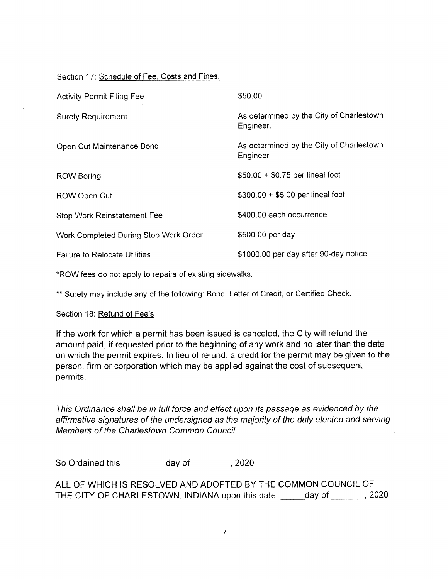## Section 17: Schedule of Fee. Costs and Fines.

| <b>Activity Permit Filing Fee</b>     | \$50.00                                               |
|---------------------------------------|-------------------------------------------------------|
| <b>Surety Requirement</b>             | As determined by the City of Charlestown<br>Engineer. |
| Open Cut Maintenance Bond             | As determined by the City of Charlestown<br>Engineer  |
| <b>ROW Boring</b>                     | $$50.00 + $0.75$ per lineal foot                      |
| ROW Open Cut                          | $$300.00 + $5.00$ per lineal foot                     |
| <b>Stop Work Reinstatement Fee</b>    | \$400.00 each occurrence                              |
| Work Completed During Stop Work Order | \$500.00 per day                                      |
| <b>Failure to Relocate Utilities</b>  | \$1000.00 per day after 90-day notice                 |

\*ROW fees do not apply to repairs of existing sidewalks.

\*\* Surety may include any of the following: Bond, Letter of Credit, or Certified Check.

Section 18: Refund of Fee's

If the work for which a permit has been issued is canceled, the City will refund the amount paid, if requested prior to the beginning of any work and no later than the date on which the permit expires. In lieu of refund, a credit for the permit may be given to the person, firm or corporation which may be applied against the cost of subsequent permits.

*This Ordinance shaii be in fuii force and effect upon its passage as evidenced by the affirmative signatures ofthe undersigned as the majority of the duty etected and serving Members of the Chartestown Common Council.*

So Ordained this day of the case of the case of the case of the case of the case of the case of the case of the case of the case of the case of the case of the case of the case of the case of the case of the case of the ca

ALL OF WHICH IS RESOLVED AND ADOPTED BY THE COMMON COUNCIL OF THE CITY OF CHARLESTOWN, INDIANA upon this date: day of 1920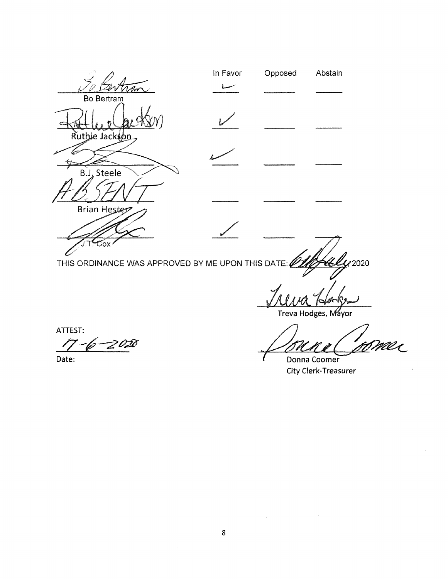

Treva Hodges, Mayor

ATTEST:

6–2020

Date: Date: **Donna Coomer Coomer Coomer Coomer Coomer Coomer** 

City Clerk-Treasurer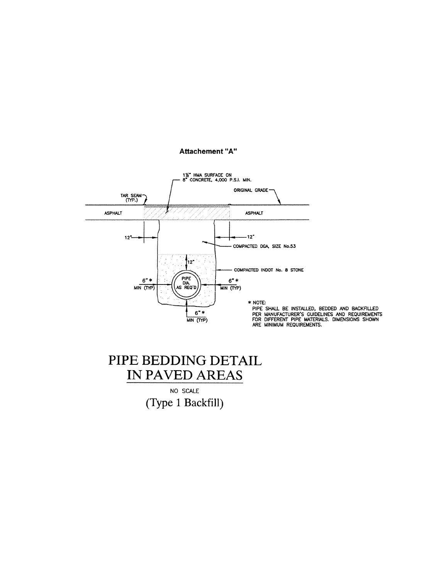

#### **Attachement "A"**

## PIPE BEDDING DETAIL IN PAVED AREAS

NO SCALE **(Type <sup>1</sup> Backfill)**